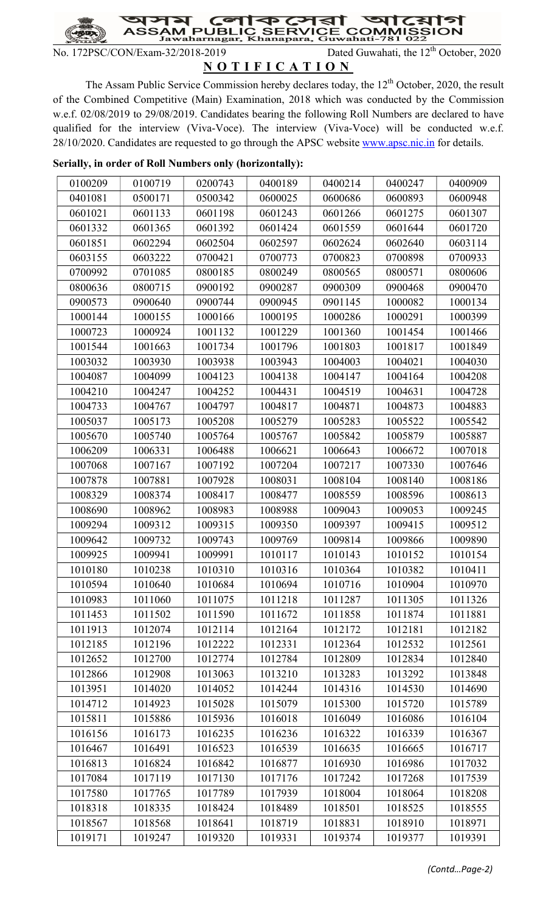হা ক  $\overline{\mathbf{C}}$ য়π **SAM SER\** JBI

No. 172PSC/CON/Exam-32/2018-2019 Dated Guwahati, the 12<sup>th</sup> October, 2020

## N O T I F I C A T I O N

The Assam Public Service Commission hereby declares today, the 12<sup>th</sup> October, 2020, the result of the Combined Competitive (Main) Examination, 2018 which was conducted by the Commission w.e.f. 02/08/2019 to 29/08/2019. Candidates bearing the following Roll Numbers are declared to have qualified for the interview (Viva-Voce). The interview (Viva-Voce) will be conducted w.e.f. 28/10/2020. Candidates are requested to go through the APSC website www.apsc.nic.in for details.

| 0100209 | 0100719 | 0200743 | 0400189 | 0400214 | 0400247 | 0400909 |
|---------|---------|---------|---------|---------|---------|---------|
| 0401081 | 0500171 | 0500342 | 0600025 | 0600686 | 0600893 | 0600948 |
| 0601021 | 0601133 | 0601198 | 0601243 | 0601266 | 0601275 | 0601307 |
| 0601332 | 0601365 | 0601392 | 0601424 | 0601559 | 0601644 | 0601720 |
| 0601851 | 0602294 | 0602504 | 0602597 | 0602624 | 0602640 | 0603114 |
| 0603155 | 0603222 | 0700421 | 0700773 | 0700823 | 0700898 | 0700933 |
| 0700992 | 0701085 | 0800185 | 0800249 | 0800565 | 0800571 | 0800606 |
| 0800636 | 0800715 | 0900192 | 0900287 | 0900309 | 0900468 | 0900470 |
| 0900573 | 0900640 | 0900744 | 0900945 | 0901145 | 1000082 | 1000134 |
| 1000144 | 1000155 | 1000166 | 1000195 | 1000286 | 1000291 | 1000399 |
| 1000723 | 1000924 | 1001132 | 1001229 | 1001360 | 1001454 | 1001466 |
| 1001544 | 1001663 | 1001734 | 1001796 | 1001803 | 1001817 | 1001849 |
| 1003032 | 1003930 | 1003938 | 1003943 | 1004003 | 1004021 | 1004030 |
| 1004087 | 1004099 | 1004123 | 1004138 | 1004147 | 1004164 | 1004208 |
| 1004210 | 1004247 | 1004252 | 1004431 | 1004519 | 1004631 | 1004728 |
| 1004733 | 1004767 | 1004797 | 1004817 | 1004871 | 1004873 | 1004883 |
| 1005037 | 1005173 | 1005208 | 1005279 | 1005283 | 1005522 | 1005542 |
| 1005670 | 1005740 | 1005764 | 1005767 | 1005842 | 1005879 | 1005887 |
| 1006209 | 1006331 | 1006488 | 1006621 | 1006643 | 1006672 | 1007018 |
| 1007068 | 1007167 | 1007192 | 1007204 | 1007217 | 1007330 | 1007646 |
| 1007878 | 1007881 | 1007928 | 1008031 | 1008104 | 1008140 | 1008186 |
| 1008329 | 1008374 | 1008417 | 1008477 | 1008559 | 1008596 | 1008613 |
| 1008690 | 1008962 | 1008983 | 1008988 | 1009043 | 1009053 | 1009245 |
| 1009294 | 1009312 | 1009315 | 1009350 | 1009397 | 1009415 | 1009512 |
| 1009642 | 1009732 | 1009743 | 1009769 | 1009814 | 1009866 | 1009890 |
| 1009925 | 1009941 | 1009991 | 1010117 | 1010143 | 1010152 | 1010154 |
| 1010180 | 1010238 | 1010310 | 1010316 | 1010364 | 1010382 | 1010411 |
| 1010594 | 1010640 | 1010684 | 1010694 | 1010716 | 1010904 | 1010970 |
| 1010983 | 1011060 | 1011075 | 1011218 | 1011287 | 1011305 | 1011326 |
| 1011453 | 1011502 | 1011590 | 1011672 | 1011858 | 1011874 | 1011881 |
| 1011913 | 1012074 | 1012114 | 1012164 | 1012172 | 1012181 | 1012182 |
| 1012185 | 1012196 | 1012222 | 1012331 | 1012364 | 1012532 | 1012561 |
| 1012652 | 1012700 | 1012774 | 1012784 | 1012809 | 1012834 | 1012840 |
| 1012866 | 1012908 | 1013063 | 1013210 | 1013283 | 1013292 | 1013848 |
| 1013951 | 1014020 | 1014052 | 1014244 | 1014316 | 1014530 | 1014690 |
| 1014712 | 1014923 | 1015028 | 1015079 | 1015300 | 1015720 | 1015789 |
| 1015811 | 1015886 | 1015936 | 1016018 | 1016049 | 1016086 | 1016104 |
| 1016156 | 1016173 | 1016235 | 1016236 | 1016322 | 1016339 | 1016367 |
| 1016467 | 1016491 | 1016523 | 1016539 | 1016635 | 1016665 | 1016717 |
| 1016813 | 1016824 | 1016842 | 1016877 | 1016930 | 1016986 | 1017032 |
| 1017084 | 1017119 | 1017130 | 1017176 | 1017242 | 1017268 | 1017539 |
| 1017580 | 1017765 | 1017789 | 1017939 | 1018004 | 1018064 | 1018208 |
| 1018318 | 1018335 | 1018424 | 1018489 | 1018501 | 1018525 | 1018555 |
| 1018567 | 1018568 | 1018641 | 1018719 | 1018831 | 1018910 | 1018971 |
| 1019171 | 1019247 | 1019320 | 1019331 | 1019374 | 1019377 | 1019391 |

## Serially, in order of Roll Numbers only (horizontally):